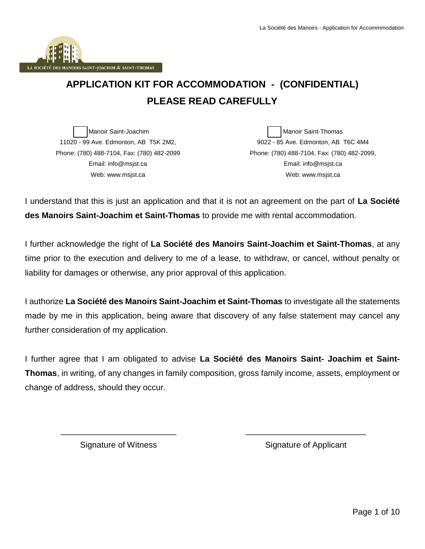

# **APPLICATION KIT FOR ACCOMMODATION - (CONFIDENTIAL) PLEASE READ CAREFULLY**

Manoir Saint-Joachim 11020 - 99 Ave. Edmonton, AB T5K 2M2, Phone: (780) 488-7104, Fax: (780) 482-2099 Email: info@msjst.ca Web: www.msjst.ca

Manoir Saint-Thomas 9022 - 85 Ave. Edmonton, AB T6C 4M4 Phone: (780) 488-7104, Fax: (780) 482-2099, Email: info@msjst.ca Web: www.msjst.ca

I understand that this is just an application and that it is not an agreement on the part of **La Société des Manoirs Saint-Joachim et Saint-Thomas** to provide me with rental accommodation.

I further acknowledge the right of **La Société des Manoirs Saint-Joachim et Saint-Thomas**, at any time prior to the execution and delivery to me of a lease, to withdraw, or cancel, without penalty or liability for damages or otherwise, any prior approval of this application.

I authorize **La Société des Manoirs Saint-Joachim et Saint-Thomas** to investigate all the statements made by me in this application, being aware that discovery of any false statement may cancel any further consideration of my application.

I further agree that I am obligated to advise **La Société des Manoirs Saint- Joachim et Saint-Thomas**, in writing, of any changes in family composition, gross family income, assets, employment or change of address, should they occur.

\_\_\_\_\_\_\_\_\_\_\_\_\_\_\_\_\_\_\_\_\_\_\_\_\_ Signature of Witness

Signature of Applicant

\_\_\_\_\_\_\_\_\_\_\_\_\_\_\_\_\_\_\_\_\_\_\_\_\_\_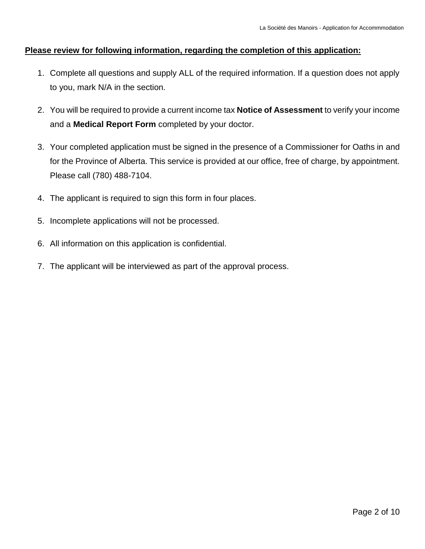#### **Please review for following information, regarding the completion of this application:**

- 1. Complete all questions and supply ALL of the required information. If a question does not apply to you, mark N/A in the section.
- 2. You will be required to provide a current income tax **Notice of Assessment** to verify your income and a **Medical Report Form** completed by your doctor.
- 3. Your completed application must be signed in the presence of a Commissioner for Oaths in and for the Province of Alberta. This service is provided at our office, free of charge, by appointment. Please call (780) 488-7104.
- 4. The applicant is required to sign this form in four places.
- 5. Incomplete applications will not be processed.
- 6. All information on this application is confidential.
- 7. The applicant will be interviewed as part of the approval process.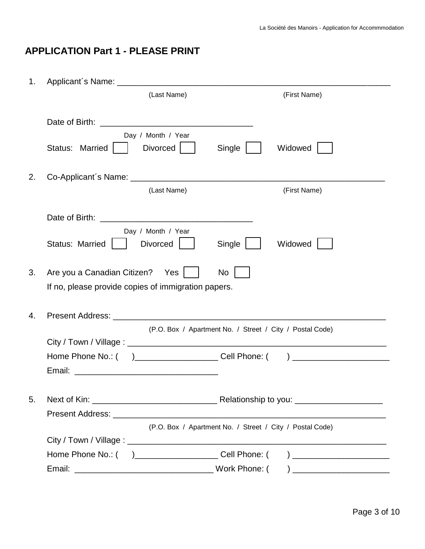## **APPLICATION Part 1 - PLEASE PRINT**

| 1. |                                                            |              |
|----|------------------------------------------------------------|--------------|
|    | (Last Name)                                                | (First Name) |
|    |                                                            |              |
|    | Day / Month / Year                                         |              |
|    | Status: Married  <br>Divorced  <br>Single                  | Widowed      |
| 2. |                                                            |              |
|    | (Last Name)                                                | (First Name) |
|    |                                                            |              |
|    | Day / Month / Year                                         |              |
|    | <b>Divorced</b><br>Status: Married<br>Single               | Widowed      |
| 3. | Are you a Canadian Citizen? Yes  <br>No                    |              |
|    | If no, please provide copies of immigration papers.        |              |
|    |                                                            |              |
| 4. |                                                            |              |
|    | (P.O. Box / Apartment No. / Street / City / Postal Code)   |              |
|    |                                                            |              |
|    |                                                            |              |
|    |                                                            |              |
| 5. |                                                            |              |
|    |                                                            |              |
|    | (P.O. Box / Apartment No. / Street / City / Postal Code)   |              |
|    |                                                            |              |
|    | Home Phone No.: ( )_________________________ Cell Phone: ( |              |
|    |                                                            |              |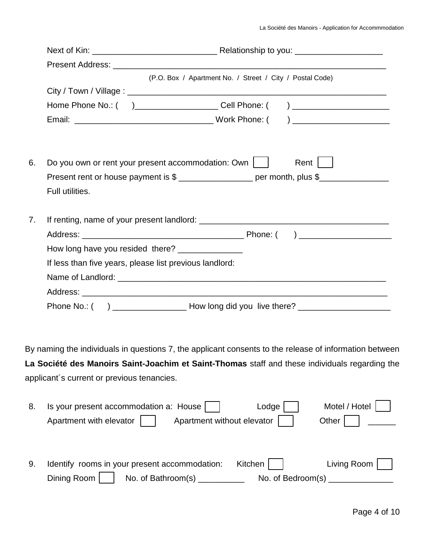|    | (P.O. Box / Apartment No. / Street / City / Postal Code)                         |                      |
|----|----------------------------------------------------------------------------------|----------------------|
|    |                                                                                  |                      |
|    | Home Phone No.: ( )______________________Cell Phone: ( )________________________ |                      |
|    |                                                                                  |                      |
|    |                                                                                  |                      |
|    | Do you own or rent your present accommodation: Own    <br>6.                     | Rent $\vert$ $\vert$ |
|    | Present rent or house payment is \$ ___________________ per month, plus \$       |                      |
|    |                                                                                  |                      |
|    | Full utilities.                                                                  |                      |
| 7. |                                                                                  |                      |
|    |                                                                                  |                      |
|    | How long have you resided there? ________________                                |                      |
|    | If less than five years, please list previous landlord:                          |                      |
|    |                                                                                  |                      |
|    |                                                                                  |                      |
|    |                                                                                  |                      |

By naming the individuals in questions 7, the applicant consents to the release of information between **La Société des Manoirs Saint-Joachim et Saint-Thomas** staff and these individuals regarding the applicant´s current or previous tenancies.

| 8. | Is your present accommodation a: House  <br>Lodge                | Motel / Hotel |
|----|------------------------------------------------------------------|---------------|
|    | Apartment without elevator<br>Apartment with elevator  <br>Other |               |
|    |                                                                  |               |
|    |                                                                  |               |
| 9. | Kitchen<br>Identify rooms in your present accommodation:         | Living Room   |
|    | No. of Bathroom(s)<br>Dining Room<br>No. of Bedroom(s) $\_\_$    |               |
|    |                                                                  |               |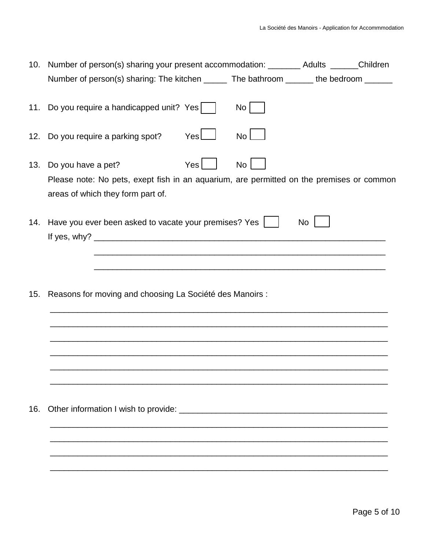| 10. | Number of person(s) sharing your present accommodation: ________ Adults ______Children                                                                                                     |           |  |
|-----|--------------------------------------------------------------------------------------------------------------------------------------------------------------------------------------------|-----------|--|
|     | Number of person(s) sharing: The kitchen ______ The bathroom ______ the bedroom ______                                                                                                     |           |  |
| 11. | Do you require a handicapped unit? Yes<br>No <sub>1</sub>                                                                                                                                  |           |  |
|     | Yes<br>12. Do you require a parking spot?<br>No <sub>1</sub>                                                                                                                               |           |  |
| 13. | Yes <sub>l</sub><br>No <sub>1</sub><br>Do you have a pet?<br>Please note: No pets, exept fish in an aquarium, are permitted on the premises or common<br>areas of which they form part of. |           |  |
| 14. | Have you ever been asked to vacate your premises? Yes                                                                                                                                      | <b>No</b> |  |
| 15. | Reasons for moving and choosing La Société des Manoirs :                                                                                                                                   |           |  |
| 16. |                                                                                                                                                                                            |           |  |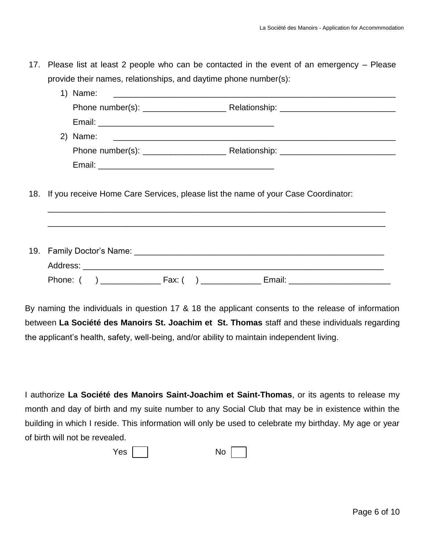17. Please list at least 2 people who can be contacted in the event of an emergency – Please provide their names, relationships, and daytime phone number(s):

|  | 18. If you receive Home Care Services, please list the name of your Case Coordinator: |
|--|---------------------------------------------------------------------------------------|
|  |                                                                                       |
|  |                                                                                       |
|  |                                                                                       |

By naming the individuals in question 17 & 18 the applicant consents to the release of information between **La Société des Manoirs St. Joachim et St. Thomas** staff and these individuals regarding the applicant's health, safety, well-being, and/or ability to maintain independent living.

I authorize **La Société des Manoirs Saint-Joachim et Saint-Thomas**, or its agents to release my month and day of birth and my suite number to any Social Club that may be in existence within the building in which I reside. This information will only be used to celebrate my birthday. My age or year of birth will not be revealed.

| Yes <sub>1</sub><br>No |
|------------------------|
|------------------------|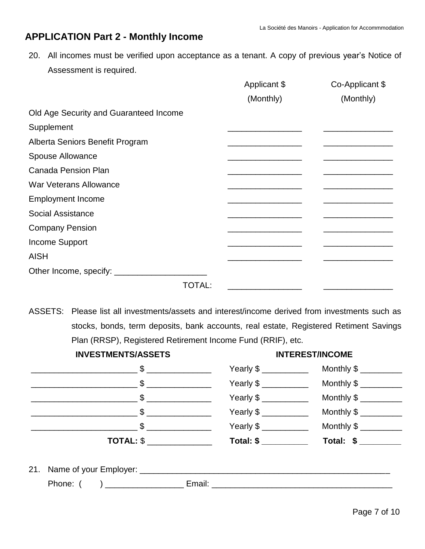## **APPLICATION Part 2 - Monthly Income**

20. All incomes must be verified upon acceptance as a tenant. A copy of previous year's Notice of Assessment is required.

|                                        | Applicant \$ | Co-Applicant \$ |
|----------------------------------------|--------------|-----------------|
|                                        | (Monthly)    | (Monthly)       |
| Old Age Security and Guaranteed Income |              |                 |
| Supplement                             |              |                 |
| Alberta Seniors Benefit Program        |              |                 |
| Spouse Allowance                       |              |                 |
| <b>Canada Pension Plan</b>             |              |                 |
| <b>War Veterans Allowance</b>          |              |                 |
| <b>Employment Income</b>               |              |                 |
| <b>Social Assistance</b>               |              |                 |
| <b>Company Pension</b>                 |              |                 |
| Income Support                         |              |                 |
| <b>AISH</b>                            |              |                 |
|                                        |              |                 |
| <b>TOTAL:</b>                          |              |                 |

ASSETS: Please list all investments/assets and interest/income derived from investments such as stocks, bonds, term deposits, bank accounts, real estate, Registered Retiment Savings Plan (RRSP), Registered Retirement Income Fund (RRIF), etc.

| <b>INVESTMENTS/ASSETS</b>     |                                                                                                                                                                                                                                                                                                                       | <b>INTEREST/INCOME</b> |  |
|-------------------------------|-----------------------------------------------------------------------------------------------------------------------------------------------------------------------------------------------------------------------------------------------------------------------------------------------------------------------|------------------------|--|
|                               |                                                                                                                                                                                                                                                                                                                       |                        |  |
|                               | Yearly \$ ___________                                                                                                                                                                                                                                                                                                 |                        |  |
|                               | Yearly $\frac{1}{2}$ $\frac{1}{2}$ $\frac{1}{2}$ $\frac{1}{2}$ $\frac{1}{2}$ $\frac{1}{2}$ $\frac{1}{2}$ $\frac{1}{2}$ $\frac{1}{2}$ $\frac{1}{2}$ $\frac{1}{2}$ $\frac{1}{2}$ $\frac{1}{2}$ $\frac{1}{2}$ $\frac{1}{2}$ $\frac{1}{2}$ $\frac{1}{2}$ $\frac{1}{2}$ $\frac{1}{2}$ $\frac{1}{2}$ $\frac{1}{2}$ $\frac{$ |                        |  |
|                               | Yearly \$ ____________                                                                                                                                                                                                                                                                                                |                        |  |
| $\frac{1}{2}$ \$              | Yearly \$ ___________                                                                                                                                                                                                                                                                                                 |                        |  |
| $\overline{ \text{TOTAL: } }$ | Total: \$                                                                                                                                                                                                                                                                                                             | Total: \$ __________   |  |
|                               |                                                                                                                                                                                                                                                                                                                       |                        |  |
|                               | Email: __________                                                                                                                                                                                                                                                                                                     |                        |  |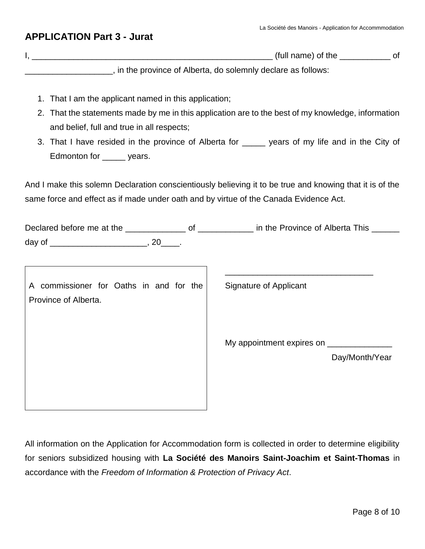#### **APPLICATION Part 3 - Jurat**

|                                                               | (full name) of the | Ωt |
|---------------------------------------------------------------|--------------------|----|
| , in the province of Alberta, do solemnly declare as follows: |                    |    |

- 1. That I am the applicant named in this application;
- 2. That the statements made by me in this application are to the best of my knowledge, information and belief, full and true in all respects;
- 3. That I have resided in the province of Alberta for \_\_\_\_\_ years of my life and in the City of Edmonton for years.

And I make this solemn Declaration conscientiously believing it to be true and knowing that it is of the same force and effect as if made under oath and by virtue of the Canada Evidence Act.

| A commissioner for Oaths in and for the<br>Province of Alberta. | Signature of Applicant              |
|-----------------------------------------------------------------|-------------------------------------|
|                                                                 | My appointment expires on _________ |
|                                                                 | Day/Month/Year                      |

All information on the Application for Accommodation form is collected in order to determine eligibility for seniors subsidized housing with **La Société des Manoirs Saint-Joachim et Saint-Thomas** in accordance with the *Freedom of Information & Protection of Privacy Act*.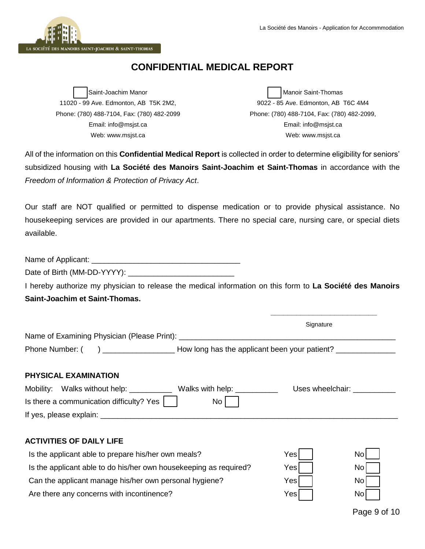

## **CONFIDENTIAL MEDICAL REPORT**

Saint-Joachim Manor 11020 - 99 Ave. Edmonton, AB T5K 2M2, Phone: (780) 488-7104, Fax: (780) 482-2099 Email: info@msjst.ca Web: www.msjst.ca

Manoir Saint-Thomas 9022 - 85 Ave. Edmonton, AB T6C 4M4 Phone: (780) 488-7104, Fax: (780) 482-2099, Email: info@msjst.ca Web: www.msjst.ca

All of the information on this **Confidential Medical Report** is collected in order to determine eligibility for seniors' subsidized housing with **La Société des Manoirs Saint-Joachim et Saint-Thomas** in accordance with the *Freedom of Information & Protection of Privacy Act*.

Our staff are NOT qualified or permitted to dispense medication or to provide physical assistance. No housekeeping services are provided in our apartments. There no special care, nursing care, or special diets available.

Date of Birth (MM-DD-YYYY): \_\_\_\_\_\_\_\_\_\_\_\_\_\_\_\_\_\_\_\_\_\_\_\_\_

I hereby authorize my physician to release the medical information on this form to **La Société des Manoirs Saint-Joachim et Saint-Thomas.** 

|                                                                         | Signature        |
|-------------------------------------------------------------------------|------------------|
|                                                                         |                  |
| PHYSICAL EXAMINATION                                                    |                  |
| Mobility: Walks without help: _____________ Walks with help: __________ | Uses wheelchair: |
| Is there a communication difficulty? Yes<br>No                          |                  |
|                                                                         |                  |

#### **ACTIVITIES OF DAILY LIFE**

| Is the applicant able to prepare his/her own meals?               | Yesl | Nol |
|-------------------------------------------------------------------|------|-----|
| Is the applicant able to do his/her own housekeeping as required? | Yesl | Nol |
| Can the applicant manage his/her own personal hygiene?            | Yesl | Nol |
| Are there any concerns with incontinence?                         | Yesl | Nol |

Page 9 of 10